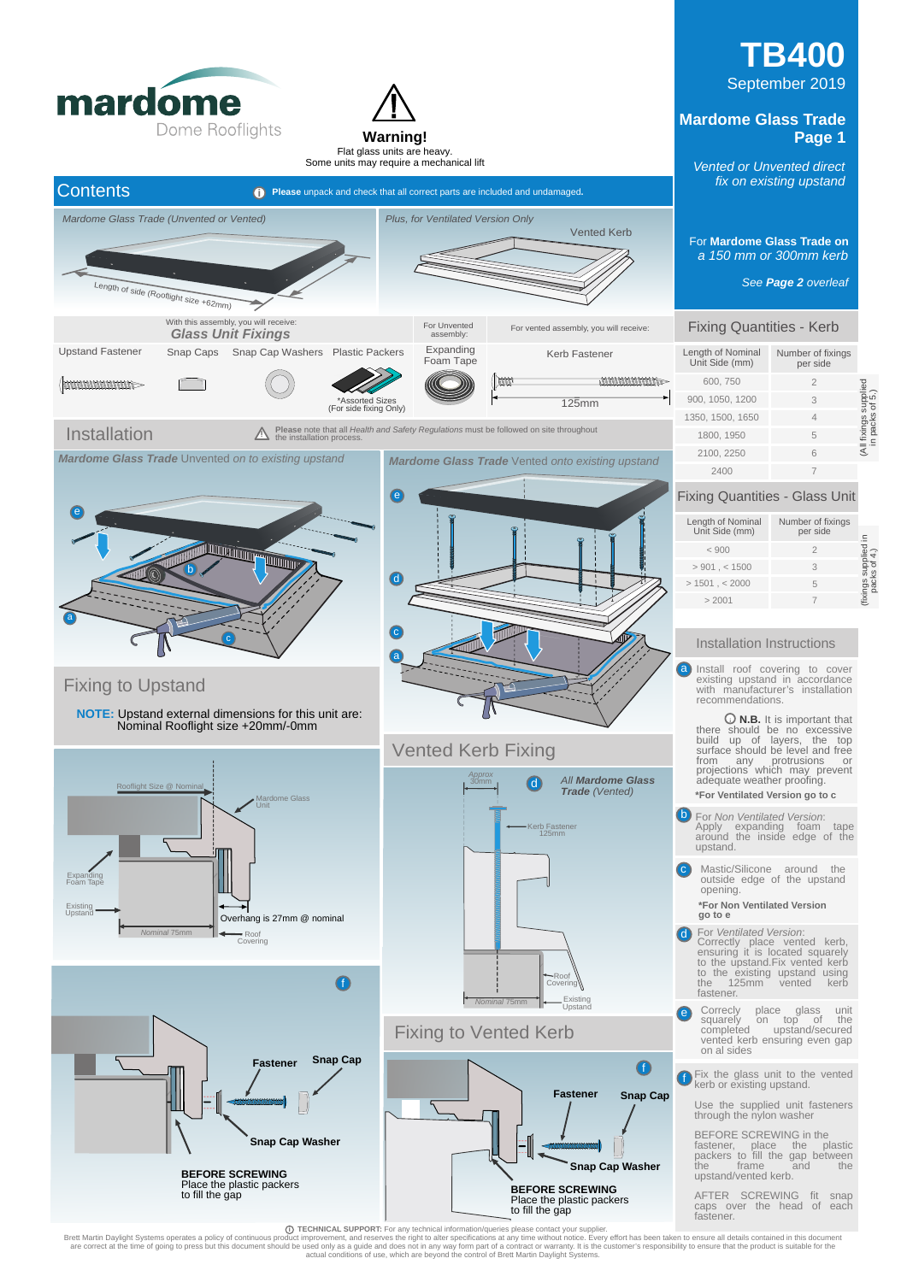

<sup>2</sup> TECHNICAL SUPPORT: For any technical information/queries please contact your supplier.<br>Brett Martin Daylight Systems operates a policy of continuous product improvement, and reserves the night to alter specifications a